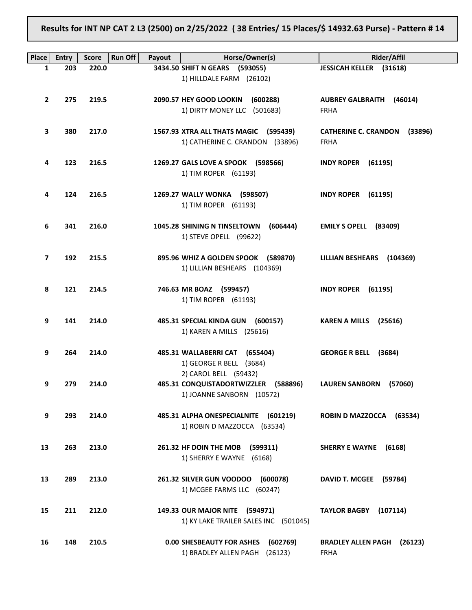Results for INT NP CAT 2 L3 (2500) on 2/25/2022 ( 38 Entries/ 15 Places/\$ 14932.63 Purse) - Pattern # 14

| Place          | <b>Entry</b> | <b>Score</b> | <b>Run Off</b><br>Payout | Horse/Owner(s)                                                                             | Rider/Affil                                         |
|----------------|--------------|--------------|--------------------------|--------------------------------------------------------------------------------------------|-----------------------------------------------------|
| 1              | 203          | 220.0        |                          | 3434.50 SHIFT N GEARS (593055)                                                             | <b>JESSICAH KELLER (31618)</b>                      |
|                |              |              |                          | 1) HILLDALE FARM (26102)                                                                   |                                                     |
| $\overline{2}$ | 275          | 219.5        |                          | 2090.57 HEY GOOD LOOKIN (600288)<br>1) DIRTY MONEY LLC (501683)                            | <b>AUBREY GALBRAITH (46014)</b><br><b>FRHA</b>      |
| 3              | 380          | 217.0        |                          | 1567.93 XTRA ALL THATS MAGIC (595439)<br>1) CATHERINE C. CRANDON (33896)                   | CATHERINE C. CRANDON (33896)<br><b>FRHA</b>         |
| 4              | 123          | 216.5        |                          | 1269.27 GALS LOVE A SPOOK (598566)<br>1) TIM ROPER (61193)                                 | <b>INDY ROPER (61195)</b>                           |
| 4              | 124          | 216.5        |                          | 1269.27 WALLY WONKA (598507)<br>1) TIM ROPER (61193)                                       | <b>INDY ROPER (61195)</b>                           |
| 6              | 341          | 216.0        |                          | 1045.28 SHINING N TINSELTOWN<br>(606444)<br>1) STEVE OPELL (99622)                         | EMILY S OPELL (83409)                               |
| 7              | 192          | 215.5        |                          | 895.96 WHIZ A GOLDEN SPOOK (589870)<br>1) LILLIAN BESHEARS (104369)                        | LILLIAN BESHEARS (104369)                           |
| 8              | 121          | 214.5        |                          | 746.63 MR BOAZ (599457)<br>1) TIM ROPER (61193)                                            | <b>INDY ROPER (61195)</b>                           |
| 9              | 141          | 214.0        |                          | 485.31 SPECIAL KINDA GUN (600157)<br>1) KAREN A MILLS (25616)                              | KAREN A MILLS (25616)                               |
| 9              | 264          | 214.0        |                          | 485.31 WALLABERRI CAT (655404)<br>1) GEORGE R BELL (3684)                                  | GEORGE R BELL (3684)                                |
| 9              | 279          | 214.0        |                          | 2) CAROL BELL (59432)<br>485.31 CONQUISTADORTWIZZLER (588896)<br>1) JOANNE SANBORN (10572) | <b>LAUREN SANBORN</b><br>(57060)                    |
| 9              | 293          | 214.0        |                          | 485.31 ALPHA ONESPECIALNITE<br>(601219)<br>1) ROBIN D MAZZOCCA (63534)                     | <b>ROBIN D MAZZOCCA</b><br>(63534)                  |
| 13             | 263          | 213.0        |                          | 261.32 HF DOIN THE MOB<br>(599311)<br>1) SHERRY E WAYNE (6168)                             | SHERRY E WAYNE (6168)                               |
| 13             | 289          | 213.0        |                          | 261.32 SILVER GUN VOODOO<br>(600078)<br>1) MCGEE FARMS LLC (60247)                         | <b>DAVID T. MCGEE</b><br>(59784)                    |
| 15             | 211          | 212.0        |                          | 149.33 OUR MAJOR NITE (594971)<br>1) KY LAKE TRAILER SALES INC (501045)                    | <b>TAYLOR BAGBY</b><br>(107114)                     |
| 16             | 148          | 210.5        |                          | <b>0.00 SHESBEAUTY FOR ASHES</b><br>(602769)<br>1) BRADLEY ALLEN PAGH (26123)              | <b>BRADLEY ALLEN PAGH</b><br>(26123)<br><b>FRHA</b> |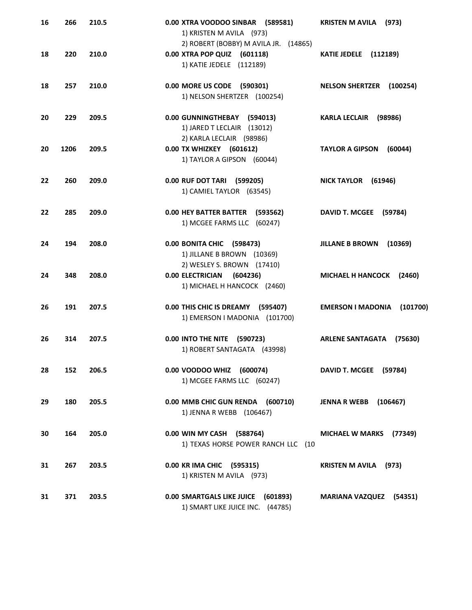| 16 | 266  | 210.5 | 0.00 XTRA VOODOO SINBAR (589581)<br>1) KRISTEN M AVILA (973)<br>2) ROBERT (BOBBY) M AVILA JR. (14865) | <b>KRISTEN M AVILA</b> (973)         |
|----|------|-------|-------------------------------------------------------------------------------------------------------|--------------------------------------|
| 18 | 220  | 210.0 | 0.00 XTRA POP QUIZ (601118)<br>1) KATIE JEDELE (112189)                                               | <b>KATIE JEDELE (112189)</b>         |
| 18 | 257  | 210.0 | 0.00 MORE US CODE (590301)<br>1) NELSON SHERTZER (100254)                                             | NELSON SHERTZER (100254)             |
| 20 | 229  | 209.5 | 0.00 GUNNINGTHEBAY (594013)<br>1) JARED T LECLAIR (13012)<br>2) KARLA LECLAIR (98986)                 | <b>KARLA LECLAIR</b><br>(98986)      |
| 20 | 1206 | 209.5 | 0.00 TX WHIZKEY (601612)<br>1) TAYLOR A GIPSON (60044)                                                | <b>TAYLOR A GIPSON</b><br>(60044)    |
| 22 | 260  | 209.0 | 0.00 RUF DOT TARI (599205)<br>1) CAMIEL TAYLOR (63545)                                                | NICK TAYLOR (61946)                  |
| 22 | 285  | 209.0 | 0.00 HEY BATTER BATTER (593562)<br>1) MCGEE FARMS LLC (60247)                                         | DAVID T. MCGEE (59784)               |
| 24 | 194  | 208.0 | 0.00 BONITA CHIC (598473)<br>1) JILLANE B BROWN (10369)<br>2) WESLEY S. BROWN (17410)                 | <b>JILLANE B BROWN</b><br>(10369)    |
| 24 | 348  | 208.0 | 0.00 ELECTRICIAN (604236)<br>1) MICHAEL H HANCOCK (2460)                                              | MICHAEL H HANCOCK (2460)             |
| 26 | 191  | 207.5 | 0.00 THIS CHIC IS DREAMY (595407)<br>1) EMERSON I MADONIA (101700)                                    | <b>EMERSON I MADONIA</b><br>(101700) |
| 26 | 314  | 207.5 | 0.00 INTO THE NITE (590723)<br>1) ROBERT SANTAGATA (43998)                                            | <b>ARLENE SANTAGATA</b><br>(75630)   |
| 28 | 152  | 206.5 | 0.00 VOODOO WHIZ (600074)<br>1) MCGEE FARMS LLC (60247)                                               | DAVID T. MCGEE (59784)               |
| 29 | 180  | 205.5 | 0.00 MMB CHIC GUN RENDA (600710)<br>1) JENNA R WEBB (106467)                                          | <b>JENNA R WEBB</b><br>(106467)      |
| 30 | 164  | 205.0 | 0.00 WIN MY CASH (588764)<br>1) TEXAS HORSE POWER RANCH LLC (10                                       | MICHAEL W MARKS (77349)              |
| 31 | 267  | 203.5 | 0.00 KR IMA CHIC (595315)<br>1) KRISTEN M AVILA (973)                                                 | <b>KRISTEN M AVILA</b> (973)         |
| 31 | 371  | 203.5 | 0.00 SMARTGALS LIKE JUICE (601893)<br>1) SMART LIKE JUICE INC. (44785)                                | <b>MARIANA VAZQUEZ (54351)</b>       |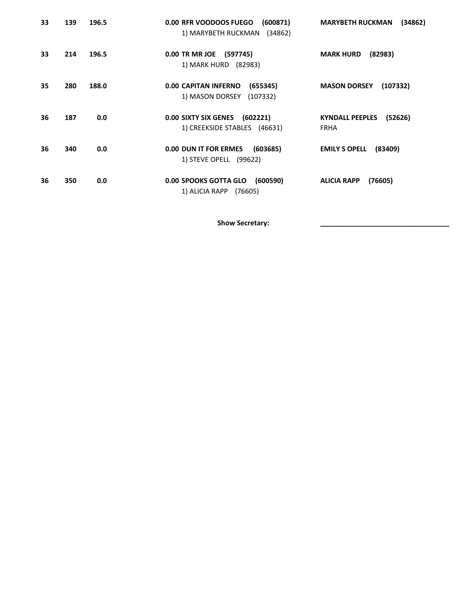| 33 | 139 | 196.5 | 0.00 RFR VOODOOS FUEGO<br>(600871)<br>1) MARYBETH RUCKMAN (34862)      | <b>MARYBETH RUCKMAN</b><br>(34862)               |
|----|-----|-------|------------------------------------------------------------------------|--------------------------------------------------|
| 33 | 214 | 196.5 | 0.00 TR MR JOE (597745)<br>1) MARK HURD (82983)                        | <b>MARK HURD</b><br>(82983)                      |
| 35 | 280 | 188.0 | <b>0.00 CAPITAN INFERNO</b><br>(655345)<br>1) MASON DORSEY<br>(107332) | <b>MASON DORSEY</b><br>(107332)                  |
| 36 | 187 | 0.0   | 0.00 SIXTY SIX GENES (602221)<br>1) CREEKSIDE STABLES (46631)          | <b>KYNDALL PEEPLES</b><br>(52626)<br><b>FRHA</b> |
| 36 | 340 | 0.0   | 0.00 DUN IT FOR ERMES<br>(603685)<br>1) STEVE OPELL (99622)            | <b>EMILY S OPELL</b><br>(83409)                  |
| 36 | 350 | 0.0   | 0.00 SPOOKS GOTTA GLO (600590)<br>1) ALICIA RAPP (76605)               | (76605)<br><b>ALICIA RAPP</b>                    |

Show Secretary: